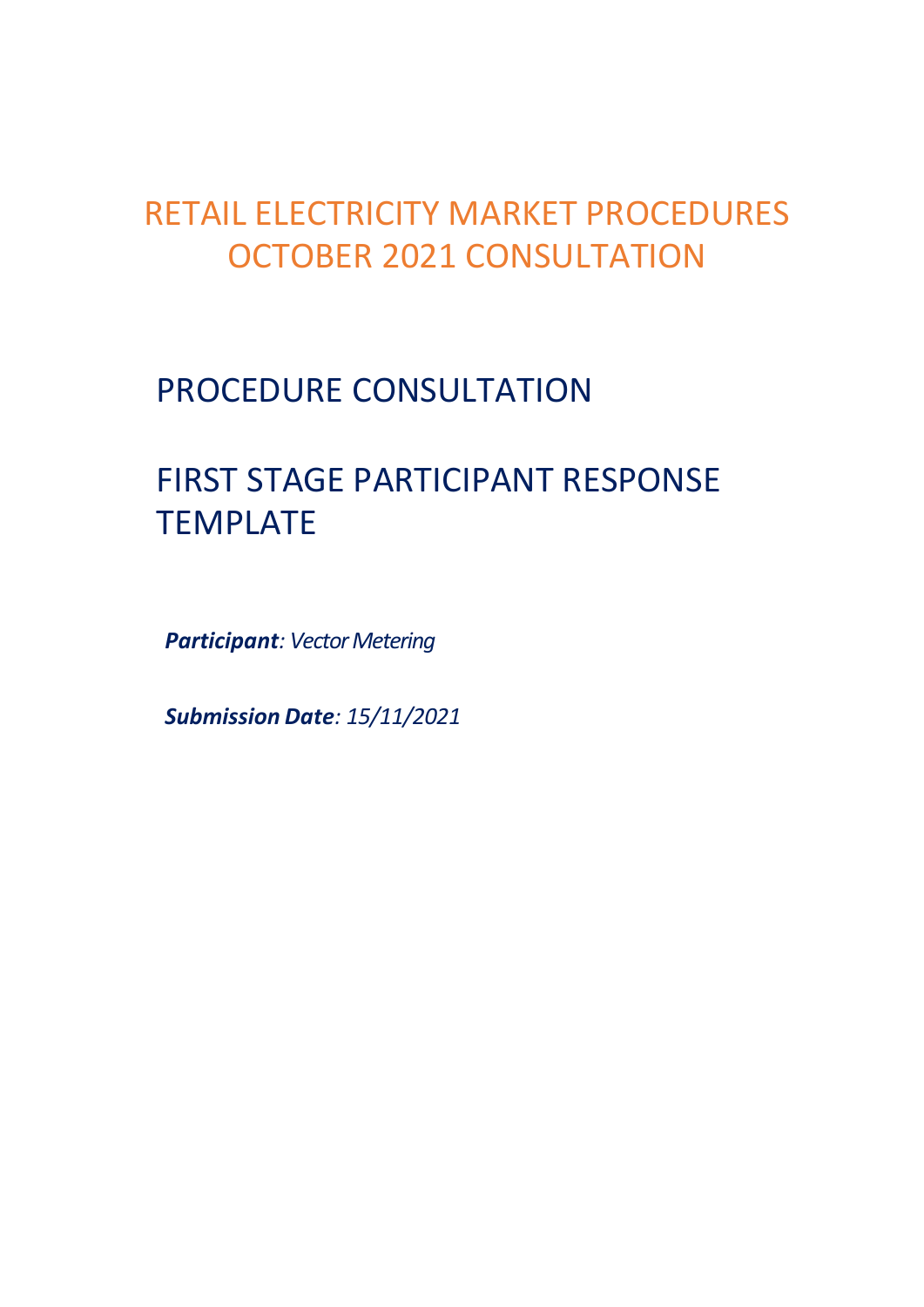# RETAIL ELECTRICITY MARKET PROCEDURES OCTOBER 2021 CONSULTATION

# PROCEDURE CONSULTATION

# FIRST STAGE PARTICIPANT RESPONSE TEMPLATE

*Participant: Vector Metering*

*Submission Date: 15/11/2021*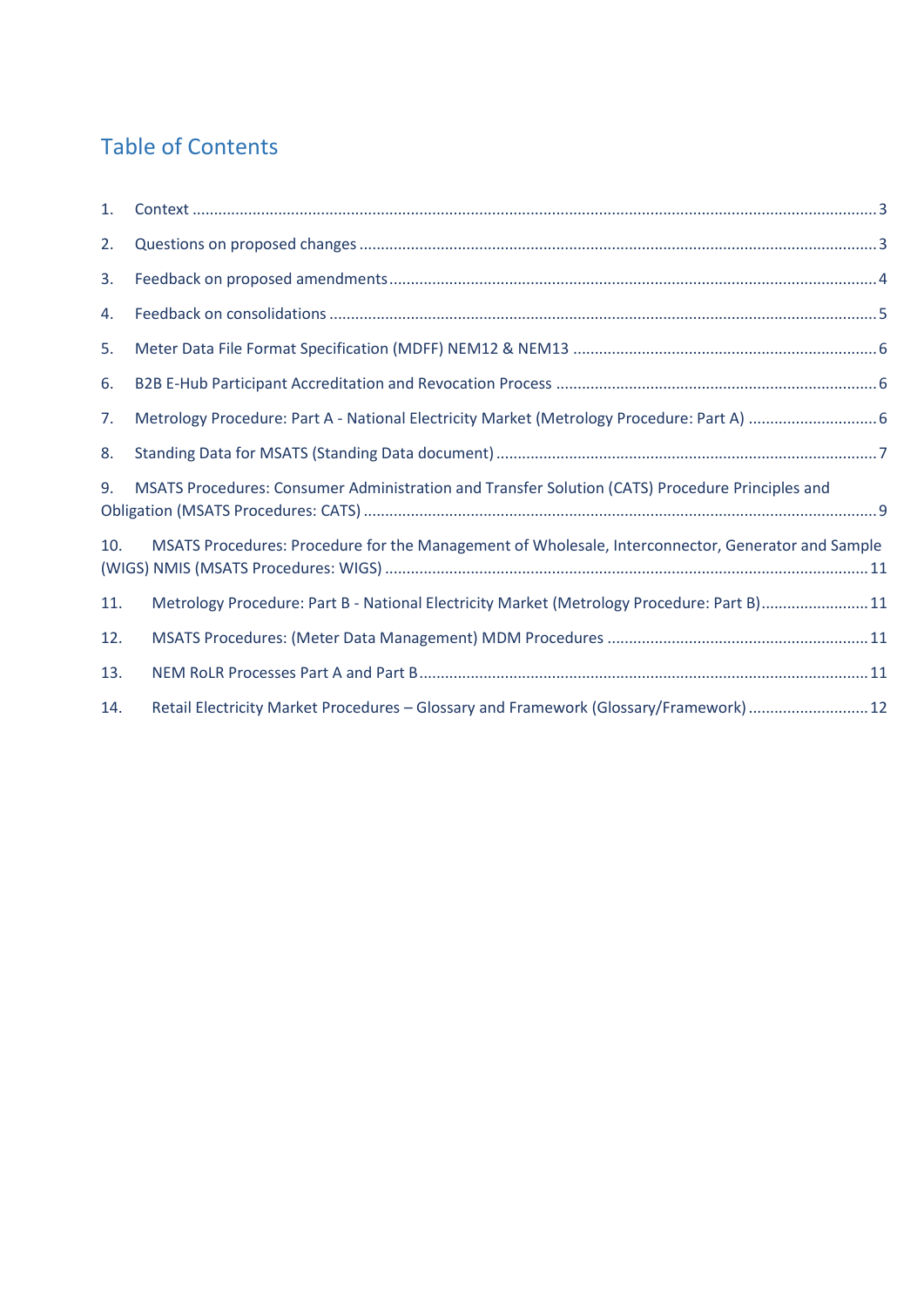#### Table of Contents

| 1.  |                                                                                                   |  |
|-----|---------------------------------------------------------------------------------------------------|--|
| 2.  |                                                                                                   |  |
| 3.  |                                                                                                   |  |
| 4.  |                                                                                                   |  |
| 5.  |                                                                                                   |  |
| 6.  |                                                                                                   |  |
| 7.  |                                                                                                   |  |
| 8.  |                                                                                                   |  |
| 9.  | MSATS Procedures: Consumer Administration and Transfer Solution (CATS) Procedure Principles and   |  |
| 10. | MSATS Procedures: Procedure for the Management of Wholesale, Interconnector, Generator and Sample |  |
| 11. | Metrology Procedure: Part B - National Electricity Market (Metrology Procedure: Part B)11         |  |
| 12. |                                                                                                   |  |
| 13. |                                                                                                   |  |
| 14. | Retail Electricity Market Procedures - Glossary and Framework (Glossary/Framework)  12            |  |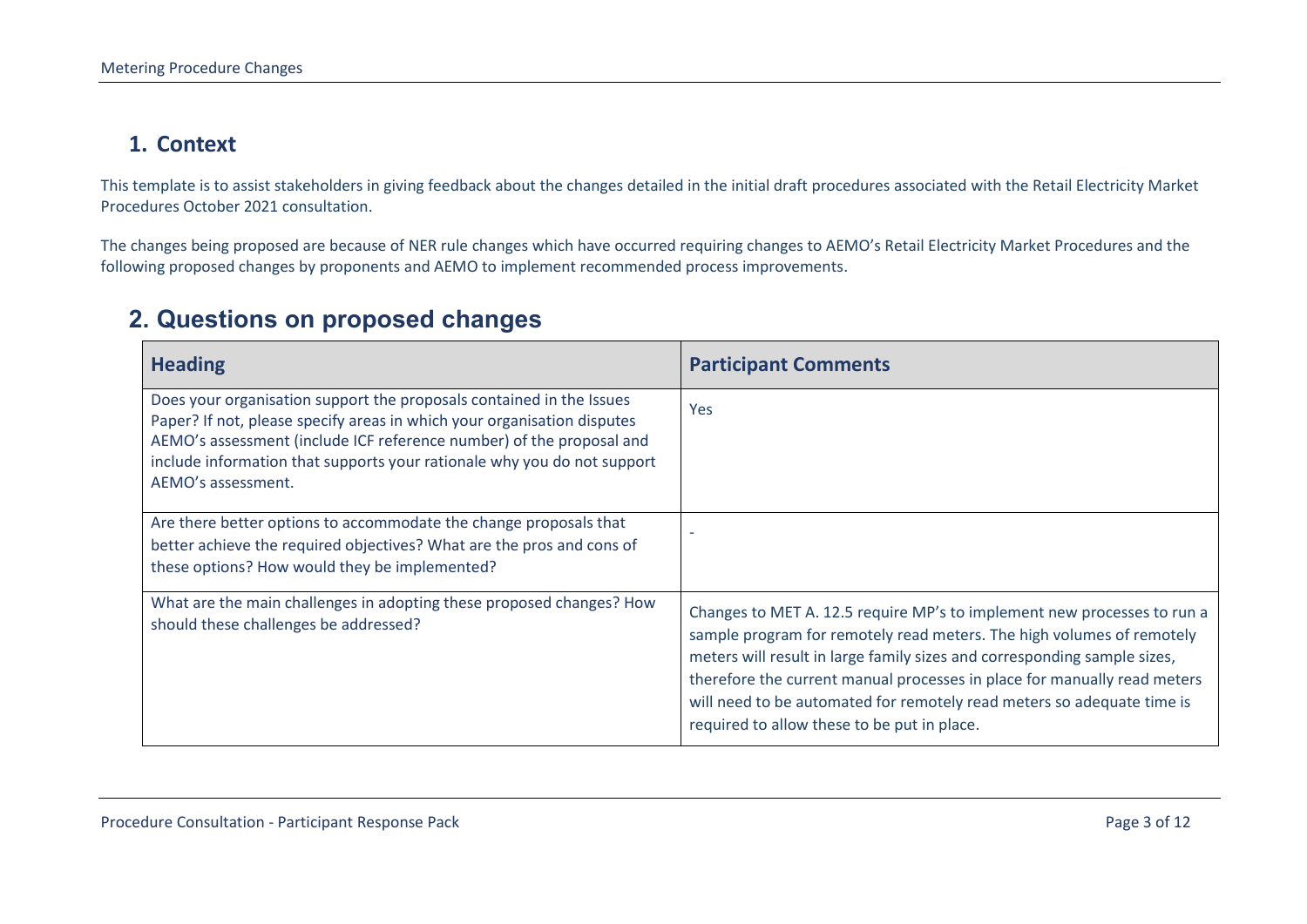#### **1. Context**

This template is to assist stakeholders in giving feedback about the changes detailed in the initial draft procedures associated with the Retail Electricity Market Procedures October 2021 consultation.

The changes being proposed are because of NER rule changes which have occurred requiring changes to AEMO's Retail Electricity Market Procedures and the following proposed changes by proponents and AEMO to implement recommended process improvements.

#### **2. Questions on proposed changes**

<span id="page-2-1"></span><span id="page-2-0"></span>

| <b>Heading</b>                                                                                                                                                                                                                                                                                                           | <b>Participant Comments</b>                                                                                                                                                                                                                                                                                                                                                                                                       |
|--------------------------------------------------------------------------------------------------------------------------------------------------------------------------------------------------------------------------------------------------------------------------------------------------------------------------|-----------------------------------------------------------------------------------------------------------------------------------------------------------------------------------------------------------------------------------------------------------------------------------------------------------------------------------------------------------------------------------------------------------------------------------|
| Does your organisation support the proposals contained in the Issues<br>Paper? If not, please specify areas in which your organisation disputes<br>AEMO's assessment (include ICF reference number) of the proposal and<br>include information that supports your rationale why you do not support<br>AEMO's assessment. | Yes                                                                                                                                                                                                                                                                                                                                                                                                                               |
| Are there better options to accommodate the change proposals that<br>better achieve the required objectives? What are the pros and cons of<br>these options? How would they be implemented?                                                                                                                              |                                                                                                                                                                                                                                                                                                                                                                                                                                   |
| What are the main challenges in adopting these proposed changes? How<br>should these challenges be addressed?                                                                                                                                                                                                            | Changes to MET A. 12.5 require MP's to implement new processes to run a<br>sample program for remotely read meters. The high volumes of remotely<br>meters will result in large family sizes and corresponding sample sizes,<br>therefore the current manual processes in place for manually read meters<br>will need to be automated for remotely read meters so adequate time is<br>required to allow these to be put in place. |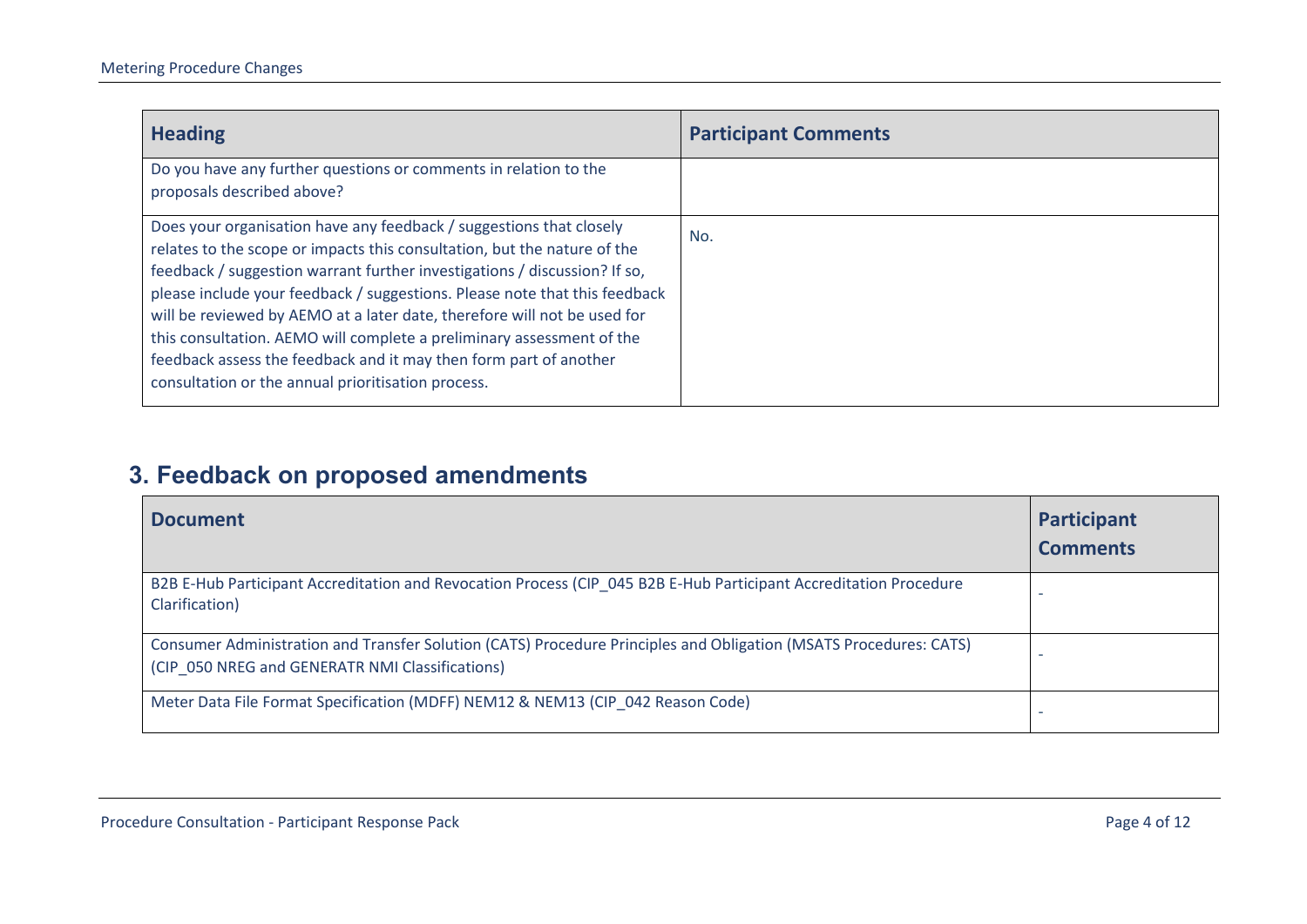| <b>Heading</b>                                                                                                                                                                                                                                                                                                                                                                                                                                                                                                                                                                             | <b>Participant Comments</b> |
|--------------------------------------------------------------------------------------------------------------------------------------------------------------------------------------------------------------------------------------------------------------------------------------------------------------------------------------------------------------------------------------------------------------------------------------------------------------------------------------------------------------------------------------------------------------------------------------------|-----------------------------|
| Do you have any further questions or comments in relation to the<br>proposals described above?                                                                                                                                                                                                                                                                                                                                                                                                                                                                                             |                             |
| Does your organisation have any feedback / suggestions that closely<br>relates to the scope or impacts this consultation, but the nature of the<br>feedback / suggestion warrant further investigations / discussion? If so,<br>please include your feedback / suggestions. Please note that this feedback<br>will be reviewed by AEMO at a later date, therefore will not be used for<br>this consultation. AEMO will complete a preliminary assessment of the<br>feedback assess the feedback and it may then form part of another<br>consultation or the annual prioritisation process. | No.                         |

# **3. Feedback on proposed amendments**

<span id="page-3-0"></span>

| <b>Document</b>                                                                                                                                                      | Participant<br><b>Comments</b> |
|----------------------------------------------------------------------------------------------------------------------------------------------------------------------|--------------------------------|
| B2B E-Hub Participant Accreditation and Revocation Process (CIP_045 B2B E-Hub Participant Accreditation Procedure<br>Clarification)                                  |                                |
| Consumer Administration and Transfer Solution (CATS) Procedure Principles and Obligation (MSATS Procedures: CATS)<br>(CIP 050 NREG and GENERATR NMI Classifications) | -                              |
| Meter Data File Format Specification (MDFF) NEM12 & NEM13 (CIP 042 Reason Code)                                                                                      |                                |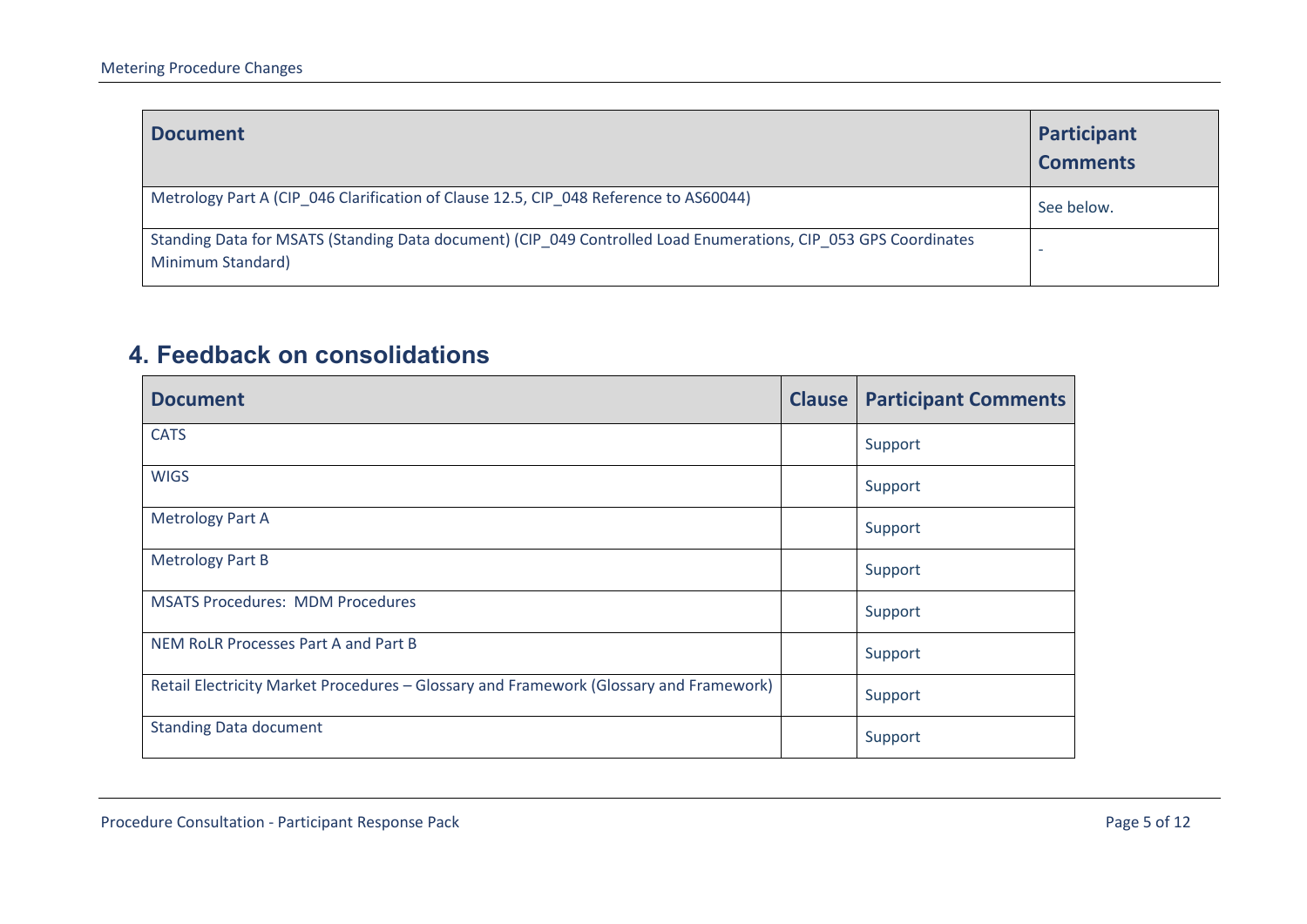| <b>Document</b>                                                                                                                      | Participant<br><b>Comments</b> |
|--------------------------------------------------------------------------------------------------------------------------------------|--------------------------------|
| Metrology Part A (CIP 046 Clarification of Clause 12.5, CIP 048 Reference to AS60044)                                                | See below.                     |
| Standing Data for MSATS (Standing Data document) (CIP_049 Controlled Load Enumerations, CIP_053 GPS Coordinates<br>Minimum Standard) |                                |

### **4. Feedback on consolidations**

<span id="page-4-0"></span>

| <b>Document</b>                                                                        | <b>Clause</b> | <b>Participant Comments</b> |
|----------------------------------------------------------------------------------------|---------------|-----------------------------|
| <b>CATS</b>                                                                            |               | Support                     |
| <b>WIGS</b>                                                                            |               | Support                     |
| <b>Metrology Part A</b>                                                                |               | Support                     |
| <b>Metrology Part B</b>                                                                |               | Support                     |
| <b>MSATS Procedures: MDM Procedures</b>                                                |               | Support                     |
| NEM RoLR Processes Part A and Part B                                                   |               | Support                     |
| Retail Electricity Market Procedures - Glossary and Framework (Glossary and Framework) |               | Support                     |
| <b>Standing Data document</b>                                                          |               | Support                     |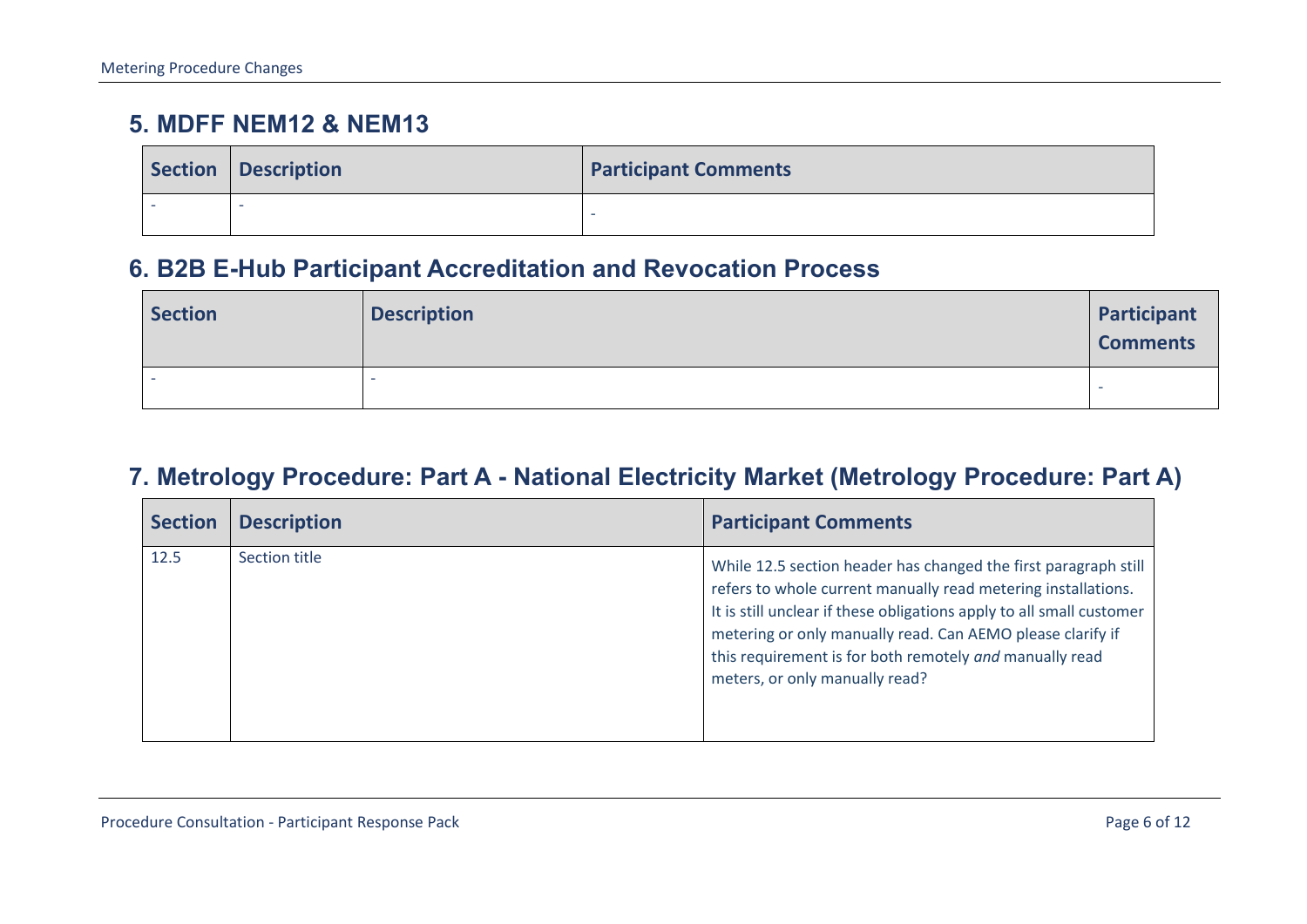## **5. MDFF NEM12 & NEM13**

|  | Section   Description | <b>Participant Comments</b> |
|--|-----------------------|-----------------------------|
|  | - 2                   | -                           |

### **6. B2B E-Hub Participant Accreditation and Revocation Process**

| <b>Section</b> | <b>Description</b> | Participant<br><b>Comments</b> |
|----------------|--------------------|--------------------------------|
|                |                    |                                |

### **7. Metrology Procedure: Part A - National Electricity Market (Metrology Procedure: Part A)**

<span id="page-5-2"></span><span id="page-5-1"></span><span id="page-5-0"></span>

| <b>Section</b> | <b>Description</b> | <b>Participant Comments</b>                                                                                                                                                                                                                                                                                                                                         |
|----------------|--------------------|---------------------------------------------------------------------------------------------------------------------------------------------------------------------------------------------------------------------------------------------------------------------------------------------------------------------------------------------------------------------|
| 12.5           | Section title      | While 12.5 section header has changed the first paragraph still<br>refers to whole current manually read metering installations.<br>It is still unclear if these obligations apply to all small customer<br>metering or only manually read. Can AEMO please clarify if<br>this requirement is for both remotely and manually read<br>meters, or only manually read? |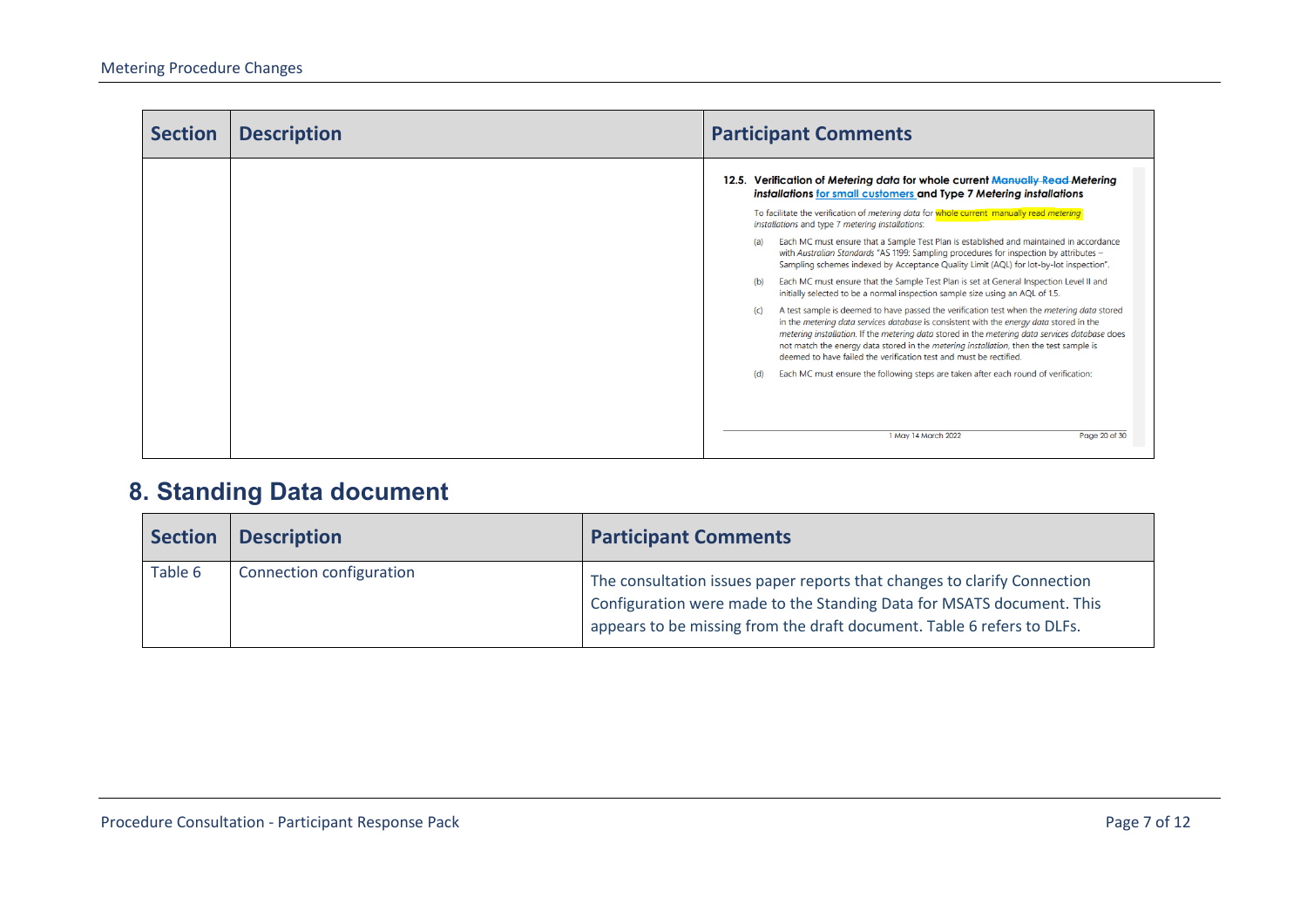| <b>Section</b> | <b>Description</b> | <b>Participant Comments</b>                                                                                                                                                                                                                                                                                                                                                                                                                                                                                                                                                                                                                                                                                                                                                                                                                                                                                                                                                                                                                                                                                                                                                                                                                    |
|----------------|--------------------|------------------------------------------------------------------------------------------------------------------------------------------------------------------------------------------------------------------------------------------------------------------------------------------------------------------------------------------------------------------------------------------------------------------------------------------------------------------------------------------------------------------------------------------------------------------------------------------------------------------------------------------------------------------------------------------------------------------------------------------------------------------------------------------------------------------------------------------------------------------------------------------------------------------------------------------------------------------------------------------------------------------------------------------------------------------------------------------------------------------------------------------------------------------------------------------------------------------------------------------------|
|                |                    | 12.5. Verification of Metering data for whole current Manually Read Metering<br>installations for small customers and Type 7 Metering installations<br>To facilitate the verification of metering data for whole current manually read metering<br>installations and type 7 metering installations:<br>Each MC must ensure that a Sample Test Plan is established and maintained in accordance<br>(a)<br>with Australian Standards "AS 1199: Sampling procedures for inspection by attributes -<br>Sampling schemes indexed by Acceptance Quality Limit (AQL) for lot-by-lot inspection".<br>Each MC must ensure that the Sample Test Plan is set at General Inspection Level II and<br>(b)<br>initially selected to be a normal inspection sample size using an AQL of 1.5.<br>A test sample is deemed to have passed the verification test when the metering data stored<br>(c)<br>in the metering data services database is consistent with the energy data stored in the<br>metering installation. If the metering data stored in the metering data services database does<br>not match the energy data stored in the metering installation, then the test sample is<br>deemed to have failed the verification test and must be rectified. |
|                |                    | Each MC must ensure the following steps are taken after each round of verification:<br>(d)<br>1 May 14 March 2022<br>Page 20 of 30                                                                                                                                                                                                                                                                                                                                                                                                                                                                                                                                                                                                                                                                                                                                                                                                                                                                                                                                                                                                                                                                                                             |

## **8. Standing Data document**

<span id="page-6-0"></span>

| <b>Section</b> | <b>Description</b>       | <b>Participant Comments</b>                                                                                                                                                                                                 |
|----------------|--------------------------|-----------------------------------------------------------------------------------------------------------------------------------------------------------------------------------------------------------------------------|
| Table 6        | Connection configuration | The consultation issues paper reports that changes to clarify Connection<br>Configuration were made to the Standing Data for MSATS document. This<br>appears to be missing from the draft document. Table 6 refers to DLFs. |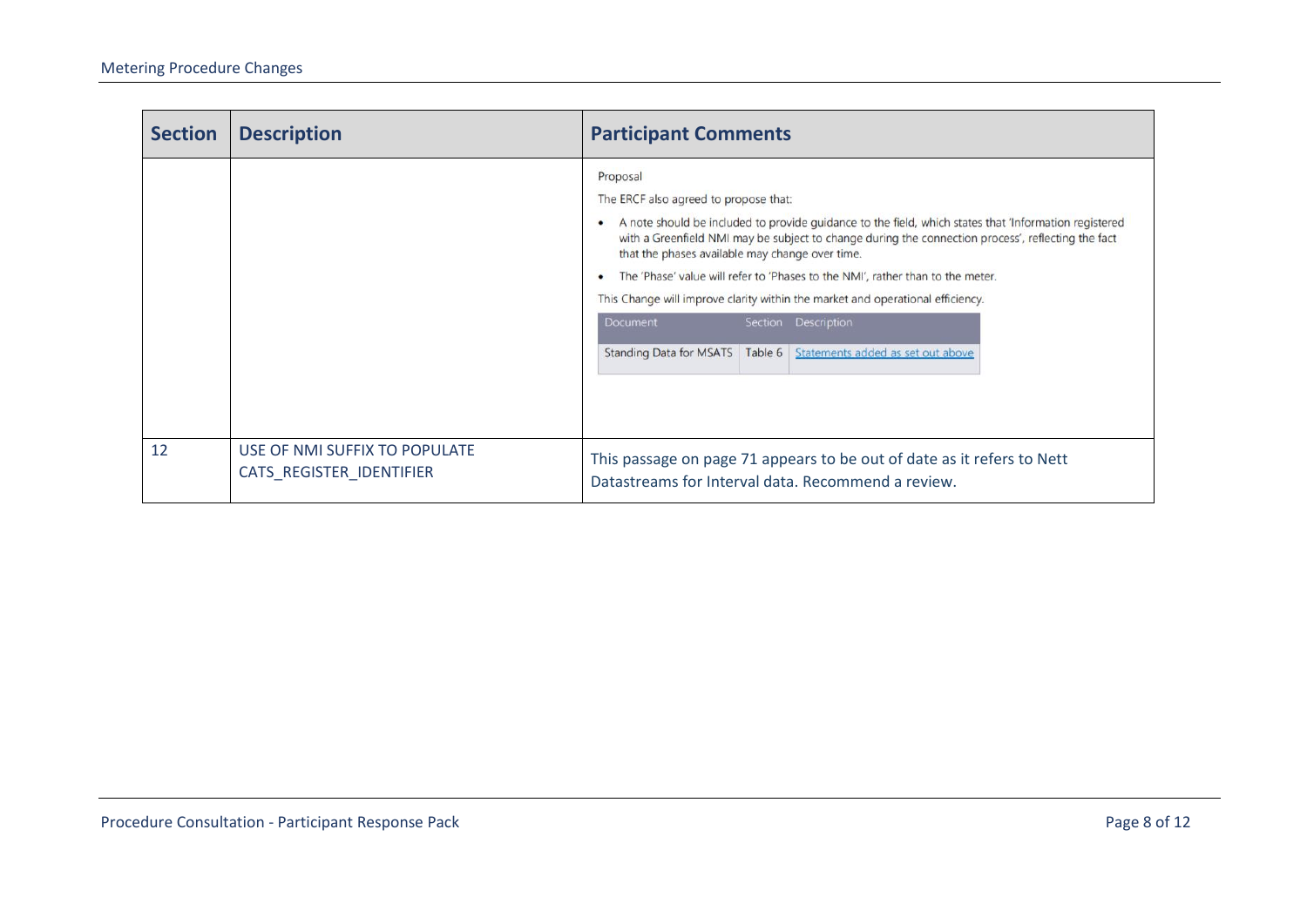| <b>Section</b> | <b>Description</b>                                        | <b>Participant Comments</b>                                                                                                                                                                                                                                                                                                                                                                                                                                                                                                                                                                         |
|----------------|-----------------------------------------------------------|-----------------------------------------------------------------------------------------------------------------------------------------------------------------------------------------------------------------------------------------------------------------------------------------------------------------------------------------------------------------------------------------------------------------------------------------------------------------------------------------------------------------------------------------------------------------------------------------------------|
|                |                                                           | Proposal<br>The ERCF also agreed to propose that:<br>A note should be included to provide guidance to the field, which states that 'Information registered<br>with a Greenfield NMI may be subject to change during the connection process', reflecting the fact<br>that the phases available may change over time.<br>The 'Phase' value will refer to 'Phases to the NMI', rather than to the meter.<br>This Change will improve clarity within the market and operational efficiency.<br>Section Description<br>Document<br>Standing Data for MSATS   Table 6   Statements added as set out above |
| 12             | USE OF NMI SUFFIX TO POPULATE<br>CATS_REGISTER_IDENTIFIER | This passage on page 71 appears to be out of date as it refers to Nett<br>Datastreams for Interval data. Recommend a review.                                                                                                                                                                                                                                                                                                                                                                                                                                                                        |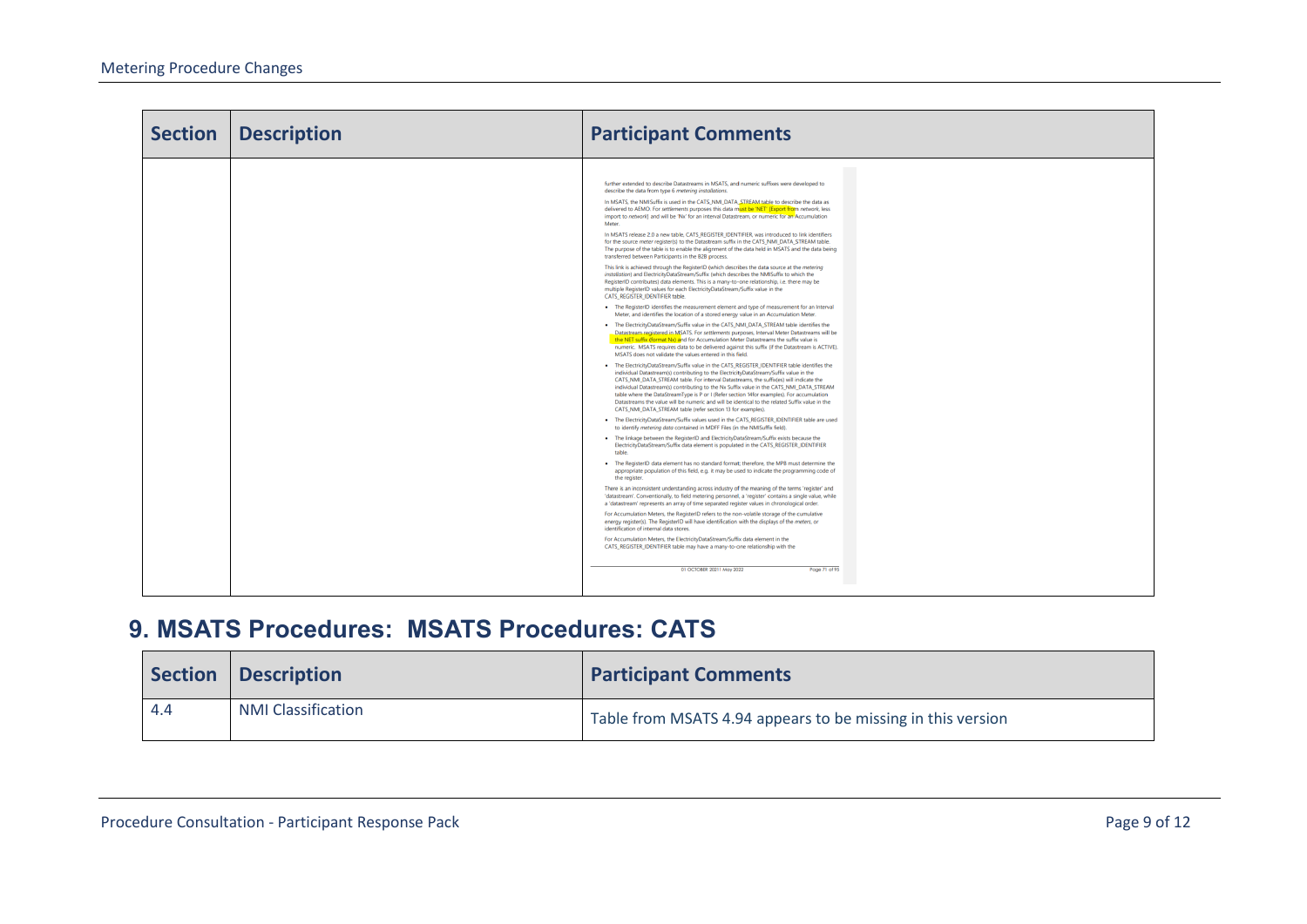| <b>Section</b> | <b>Description</b> | <b>Participant Comments</b>                                                                                                                                                                                                                                                                                                                                                                                                                                                                                                                                                                                                                                                                                                                                                                                                                                                                                                                                                                                                                                                                                                                                                                                                                                                                                                                                                                                                                                                                                                                                                                                                                                                                                                                                                                                                                                                                                                                                                                                                                                                                                                                                                                                                                                                                                                                                                                                                                                                                                                                                                                                                                                                                                                                                                                                                                                                                                                                                                                                                                                                                                                                                                                                                                                                                                                                                                                                                                                                                                                                                                                                                                                                                                                                                                                                                                                                                                             |
|----------------|--------------------|-------------------------------------------------------------------------------------------------------------------------------------------------------------------------------------------------------------------------------------------------------------------------------------------------------------------------------------------------------------------------------------------------------------------------------------------------------------------------------------------------------------------------------------------------------------------------------------------------------------------------------------------------------------------------------------------------------------------------------------------------------------------------------------------------------------------------------------------------------------------------------------------------------------------------------------------------------------------------------------------------------------------------------------------------------------------------------------------------------------------------------------------------------------------------------------------------------------------------------------------------------------------------------------------------------------------------------------------------------------------------------------------------------------------------------------------------------------------------------------------------------------------------------------------------------------------------------------------------------------------------------------------------------------------------------------------------------------------------------------------------------------------------------------------------------------------------------------------------------------------------------------------------------------------------------------------------------------------------------------------------------------------------------------------------------------------------------------------------------------------------------------------------------------------------------------------------------------------------------------------------------------------------------------------------------------------------------------------------------------------------------------------------------------------------------------------------------------------------------------------------------------------------------------------------------------------------------------------------------------------------------------------------------------------------------------------------------------------------------------------------------------------------------------------------------------------------------------------------------------------------------------------------------------------------------------------------------------------------------------------------------------------------------------------------------------------------------------------------------------------------------------------------------------------------------------------------------------------------------------------------------------------------------------------------------------------------------------------------------------------------------------------------------------------------------------------------------------------------------------------------------------------------------------------------------------------------------------------------------------------------------------------------------------------------------------------------------------------------------------------------------------------------------------------------------------------------------------------------------------------------------------------------------------------------|
|                |                    | further extended to describe Datastreams in MSATS, and numeric suffixes were developed to<br>describe the data from type 6 metering installations.<br>In MSATS, the NMISuffix is used in the CATS NMI DATA STREAM table to describe the data as<br>delivered to AEMO. For settlements purposes this data must be 'NET' [Export from network, less<br>import to network] and will be 'Nx' for an interval Datastream, or numeric for an Accumulation<br>Meter.<br>In MSATS release 2.0 a new table, CATS REGISTER IDENTIFIER, was introduced to link identifiers<br>for the source meter register(s) to the Datastream suffix in the CATS_NMI_DATA_STREAM table.<br>The purpose of the table is to enable the alignment of the data held in MSATS and the data being<br>transferred between Participants in the B2B process.<br>This link is achieved through the RegisterID (which describes the data source at the metering<br>installation) and ElectricityDataStream/Suffix (which describes the NMISuffix to which the<br>RegisterID contributes) data elements. This is a many-to-one relationship, i.e. there may be<br>multiple RegisterID values for each ElectricityDataStream/Suffix value in the<br>CATS_REGISTER_IDENTIFIER table.<br>. The RegisterID identifies the measurement element and type of measurement for an Interval<br>Meter, and identifies the location of a stored energy value in an Accumulation Meter.<br>. The ElectricityDataStream/Suffix value in the CATS_NMI_DATA_STREAM table identifies the<br>Datastream registered in MSATS. For settlements purposes, Interval Meter Datastreams will be<br>the NET suffix (format Nx) and for Accumulation Meter Datastreams the suffix value is<br>numeric. MSATS requires data to be delivered against this suffix (if the Datastream is ACTIVE).<br>MSATS does not validate the values entered in this field.<br>. The ElectricityDataStream/Suffix value in the CATS_REGISTER_IDENTIFIER table identifies the<br>individual Datastream(s) contributing to the ElectricityDataStream/Suffix value in the<br>CATS_NMI_DATA_STREAM table. For interval Datastreams, the suffix(es) will indicate the<br>individual Datastream(s) contributing to the Nx Suffix value in the CATS_NMI_DATA_STREAM<br>table where the DataStreamType is P or I (Refer section 14for examples). For accumulation<br>Datastreams the value will be numeric and will be identical to the related Suffix value in the<br>CATS_NMI_DATA_STREAM table (refer section 13 for examples).<br>. The ElectricityDataStream/Suffix values used in the CATS_REGISTER_IDENTIFIER table are used<br>to identify metering data contained in MDFF Files (in the NMISuffix field).<br>. The linkage between the RegisterID and ElectricityDataStream/Suffix exists because the<br>ElectricityDataStream/Suffix data element is populated in the CATS_REGISTER_IDENTIFIER<br>table.<br>. The RegisterID data element has no standard format; therefore, the MPB must determine the<br>appropriate population of this field, e.g. it may be used to indicate the programming code of<br>the register.<br>There is an inconsistent understanding across industry of the meaning of the terms 'register' and<br>'datastream'. Conventionally, to field metering personnel, a 'register' contains a single value, while<br>a 'datastream' represents an array of time separated register values in chronological order.<br>For Accumulation Meters, the RegisterID refers to the non-volatile storage of the cumulative<br>energy register(s). The RegisterID will have identification with the displays of the meters, or<br>identification of internal data stores.<br>For Accumulation Meters, the ElectricityDataStream/Suffix data element in the<br>CATS_REGISTER_IDENTIFIER table may have a many-to-one relationship with the<br>01 OCTOBER 20211 May 2022<br>Page 71 of 95 |

#### **9. MSATS Procedures: MSATS Procedures: CATS**

<span id="page-8-0"></span>

| <b>Section</b> | <b>Description</b>        | <b>Participant Comments</b>                                 |
|----------------|---------------------------|-------------------------------------------------------------|
| 4.4            | <b>NMI Classification</b> | Table from MSATS 4.94 appears to be missing in this version |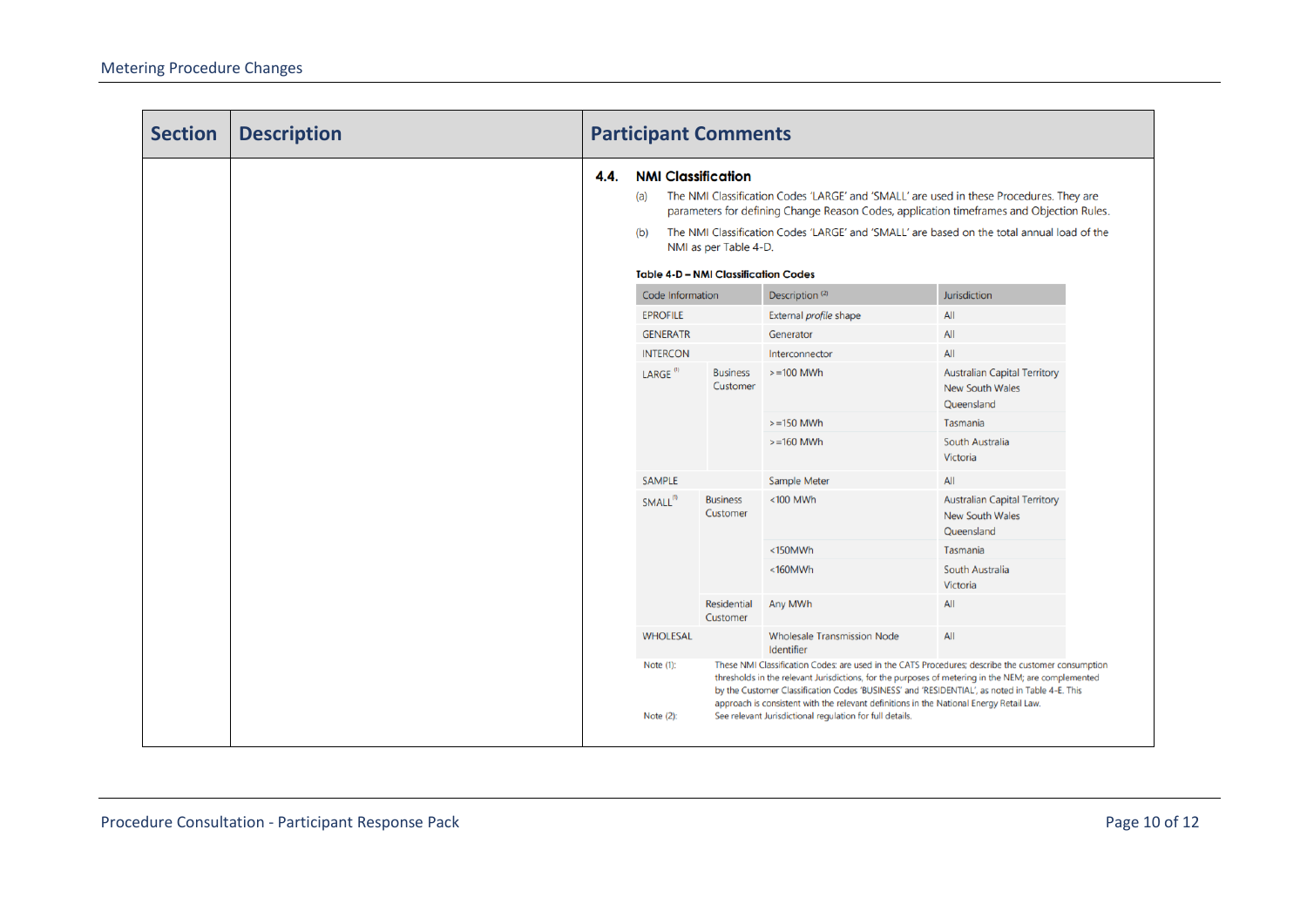| <b>Section</b> | <b>Description</b> | <b>Participant Comments</b> |                                                                                                                                                                                                                                                                                                                                                                                                      |                             |                                                                                                                                                                                                                                                                                                                                                                                                        |              |  |
|----------------|--------------------|-----------------------------|------------------------------------------------------------------------------------------------------------------------------------------------------------------------------------------------------------------------------------------------------------------------------------------------------------------------------------------------------------------------------------------------------|-----------------------------|--------------------------------------------------------------------------------------------------------------------------------------------------------------------------------------------------------------------------------------------------------------------------------------------------------------------------------------------------------------------------------------------------------|--------------|--|
|                |                    | 4.4.                        | <b>NMI Classification</b><br>The NMI Classification Codes 'LARGE' and 'SMALL' are used in these Procedures. They are<br>(a)<br>parameters for defining Change Reason Codes, application timeframes and Objection Rules.<br>The NMI Classification Codes 'LARGE' and 'SMALL' are based on the total annual load of the<br>(b)<br>NMI as per Table 4-D.<br><b>Table 4-D - NMI Classification Codes</b> |                             |                                                                                                                                                                                                                                                                                                                                                                                                        |              |  |
|                |                    |                             | Code Information                                                                                                                                                                                                                                                                                                                                                                                     |                             | Description <sup>(2)</sup>                                                                                                                                                                                                                                                                                                                                                                             | Jurisdiction |  |
|                |                    |                             | <b>EPROFILE</b>                                                                                                                                                                                                                                                                                                                                                                                      |                             | External profile shape                                                                                                                                                                                                                                                                                                                                                                                 | All          |  |
|                |                    |                             | <b>GENERATR</b>                                                                                                                                                                                                                                                                                                                                                                                      |                             | Generator                                                                                                                                                                                                                                                                                                                                                                                              | All          |  |
|                |                    |                             | <b>INTERCON</b>                                                                                                                                                                                                                                                                                                                                                                                      |                             | Interconnector                                                                                                                                                                                                                                                                                                                                                                                         | All          |  |
|                |                    | LARGE <sup>(1)</sup>        | <b>Business</b><br>Customer                                                                                                                                                                                                                                                                                                                                                                          | $>=100$ MWh                 | <b>Australian Capital Territory</b><br>New South Wales<br>Queensland                                                                                                                                                                                                                                                                                                                                   |              |  |
|                |                    |                             |                                                                                                                                                                                                                                                                                                                                                                                                      |                             | $>=150$ MWh                                                                                                                                                                                                                                                                                                                                                                                            | Tasmania     |  |
|                |                    |                             | $>=160$ MWh                                                                                                                                                                                                                                                                                                                                                                                          | South Australia<br>Victoria |                                                                                                                                                                                                                                                                                                                                                                                                        |              |  |
|                |                    |                             | <b>SAMPLE</b>                                                                                                                                                                                                                                                                                                                                                                                        |                             | Sample Meter                                                                                                                                                                                                                                                                                                                                                                                           | All          |  |
|                |                    | $SMLL^{(1)}$                | <b>Business</b><br>Customer                                                                                                                                                                                                                                                                                                                                                                          | <100 MWh                    | <b>Australian Capital Territory</b><br><b>New South Wales</b><br>Queensland                                                                                                                                                                                                                                                                                                                            |              |  |
|                |                    |                             |                                                                                                                                                                                                                                                                                                                                                                                                      |                             | <150MWh                                                                                                                                                                                                                                                                                                                                                                                                | Tasmania     |  |
|                |                    |                             |                                                                                                                                                                                                                                                                                                                                                                                                      | $<$ 160MWh                  | South Australia<br>Victoria                                                                                                                                                                                                                                                                                                                                                                            |              |  |
|                |                    | Residential<br>Customer     | Any MWh                                                                                                                                                                                                                                                                                                                                                                                              | All                         |                                                                                                                                                                                                                                                                                                                                                                                                        |              |  |
|                | <b>WHOLESAL</b>    |                             | <b>Wholesale Transmission Node</b><br>Identifier                                                                                                                                                                                                                                                                                                                                                     | All                         |                                                                                                                                                                                                                                                                                                                                                                                                        |              |  |
|                |                    |                             | Note (1):                                                                                                                                                                                                                                                                                                                                                                                            |                             | These NMI Classification Codes: are used in the CATS Procedures; describe the customer consumption<br>thresholds in the relevant Jurisdictions, for the purposes of metering in the NEM; are complemented<br>by the Customer Classification Codes 'BUSINESS' and 'RESIDENTIAL', as noted in Table 4-E. This<br>approach is consistent with the relevant definitions in the National Energy Retail Law. |              |  |
|                |                    |                             | Note (2):                                                                                                                                                                                                                                                                                                                                                                                            |                             | See relevant Jurisdictional regulation for full details.                                                                                                                                                                                                                                                                                                                                               |              |  |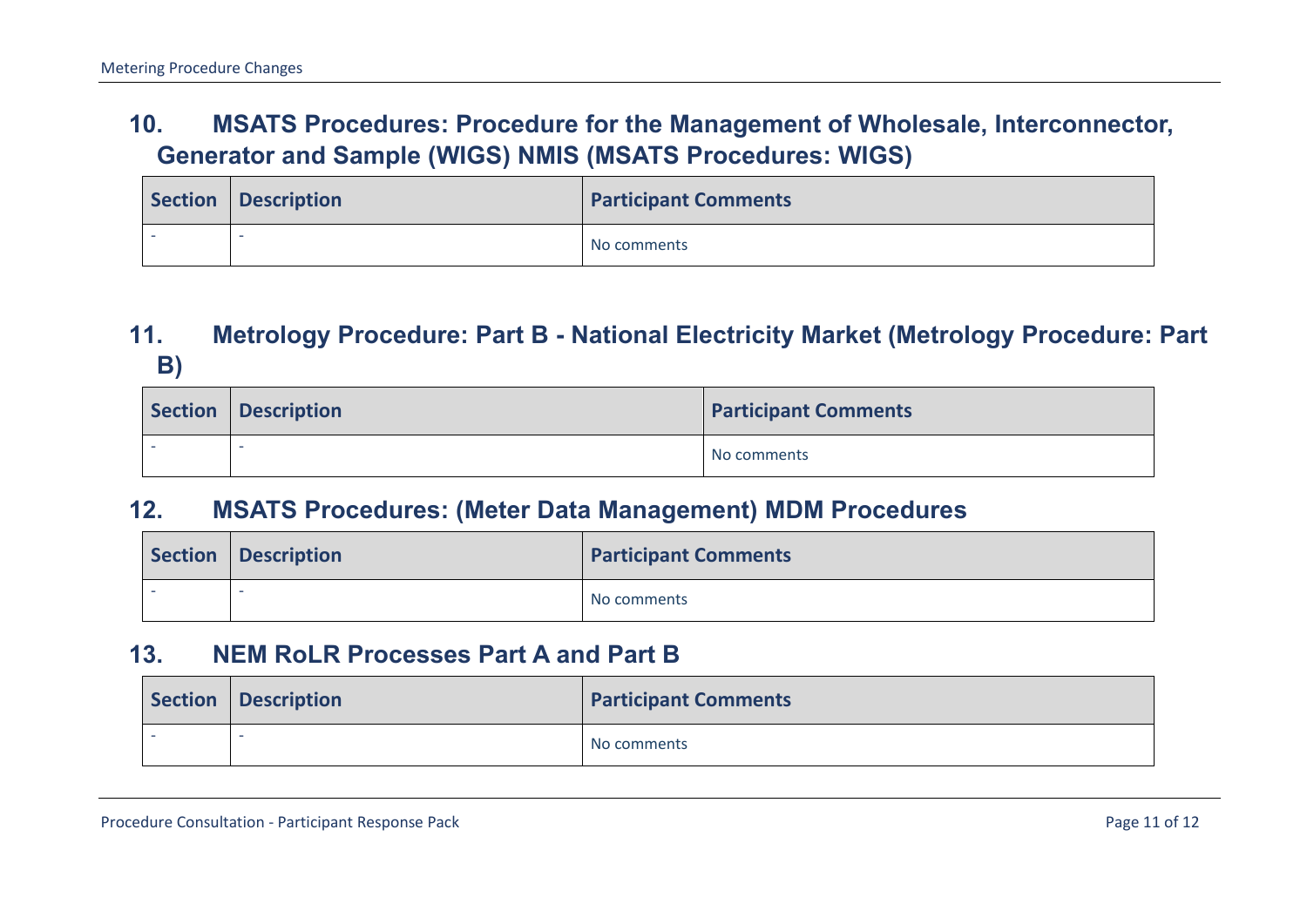#### **10. MSATS Procedures: Procedure for the Management of Wholesale, Interconnector, Generator and Sample (WIGS) NMIS (MSATS Procedures: WIGS)**

| Section   Description | <b>Participant Comments</b> |
|-----------------------|-----------------------------|
|                       | No comments                 |

#### **11. Metrology Procedure: Part B - National Electricity Market (Metrology Procedure: Part B)**

| Section   Description | <b>Participant Comments</b> |
|-----------------------|-----------------------------|
|                       | No comments                 |

#### <span id="page-10-0"></span>**12. MSATS Procedures: (Meter Data Management) MDM Procedures**

| <b>Section</b> | <b>Description</b> | <b>Participant Comments</b> |
|----------------|--------------------|-----------------------------|
|                |                    | No comments                 |

#### **13. NEM RoLR Processes Part A and Part B**

<span id="page-10-3"></span><span id="page-10-2"></span><span id="page-10-1"></span>

| Section Description | <b>Participant Comments</b> |
|---------------------|-----------------------------|
|                     | No comments                 |